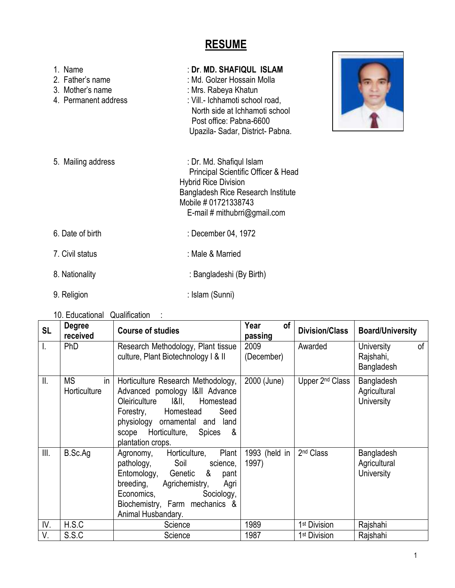# **RESUME**

| 1. Name<br>2. Father's name<br>3. Mother's name<br>4. Permanent address | : Dr. MD. SHAFIQUL ISLAM<br>: Md. Golzer Hossain Molla<br>: Mrs. Rabeya Khatun<br>: Vill .- Ichhamoti school road,<br>North side at Ichhamoti school<br>Post office: Pabna-6600<br>Upazila-Sadar, District-Pabna. |
|-------------------------------------------------------------------------|-------------------------------------------------------------------------------------------------------------------------------------------------------------------------------------------------------------------|
| 5. Mailing address                                                      | : Dr. Md. Shafiqul Islam<br>Principal Scientific Officer & Head<br><b>Hybrid Rice Division</b><br><b>Bangladesh Rice Research Institute</b><br>Mobile # 01721338743<br>E-mail # mithubrri@gmail.com               |
| 6. Date of birth                                                        | : December 04, 1972                                                                                                                                                                                               |
| 7. Civil status                                                         | : Male & Married                                                                                                                                                                                                  |
| 8. Nationality                                                          | : Bangladeshi (By Birth)                                                                                                                                                                                          |
| 9. Religion                                                             | : Islam (Sunni)                                                                                                                                                                                                   |

10. Educational Qualification :

| <b>SL</b> | <b>Degree</b><br>received       | <b>Course of studies</b>                                                                                                                                                                                                                  | Year<br>οf<br>passing  | <b>Division/Class</b>       | <b>Board/University</b>                     |
|-----------|---------------------------------|-------------------------------------------------------------------------------------------------------------------------------------------------------------------------------------------------------------------------------------------|------------------------|-----------------------------|---------------------------------------------|
| I.        | <b>PhD</b>                      | Research Methodology, Plant tissue<br>culture, Plant Biotechnology I & II                                                                                                                                                                 | 2009<br>(December)     | Awarded                     | of<br>University<br>Rajshahi,<br>Bangladesh |
| Ⅱ.        | <b>MS</b><br>in<br>Horticulture | Horticulture Research Methodology,<br>Advanced pomology I&II Advance<br>Oleiriculture I&II,<br>Homestead<br>Seed<br>Forestry,<br>Homestead<br>physiology ornamental and<br>land<br>scope Horticulture, Spices<br>- &<br>plantation crops. | 2000 (June)            | Upper 2 <sup>nd</sup> Class | Bangladesh<br>Agricultural<br>University    |
| III.      | B.Sc.Ag                         | Plant  <br>Horticulture,<br>Agronomy,<br>pathology, Soil<br>science,<br>Entomology, Genetic &<br>pant<br>breeding, Agrichemistry,<br>Agri<br>Sociology,<br>Economics,<br>Biochemistry, Farm mechanics &<br>Animal Husbandary.             | 1993 (held in<br>1997) | 2 <sup>nd</sup> Class       | Bangladesh<br>Agricultural<br>University    |
| IV.       | H.S.C                           | Science                                                                                                                                                                                                                                   | 1989                   | 1 <sup>st</sup> Division    | Rajshahi                                    |
| V.        | S.S.C                           | Science                                                                                                                                                                                                                                   | 1987                   | 1 <sup>st</sup> Division    | Rajshahi                                    |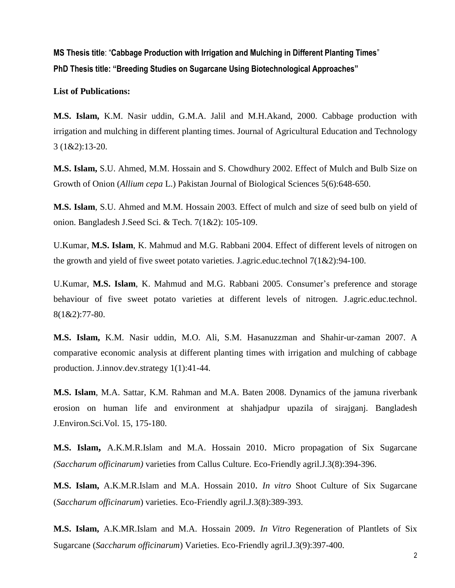**MS Thesis title**: "**Cabbage Production with Irrigation and Mulching in Different Planting Times**" **PhD Thesis title: "Breeding Studies on Sugarcane Using Biotechnological Approaches"**

**List of Publications:**

**M.S. Islam,** K.M. Nasir uddin, G.M.A. Jalil and M.H.Akand, 2000. Cabbage production with irrigation and mulching in different planting times. Journal of Agricultural Education and Technology 3 (1&2):13-20.

**M.S. Islam,** S.U. Ahmed, M.M. Hossain and S. Chowdhury 2002. Effect of Mulch and Bulb Size on Growth of Onion (*Allium cepa* L.) Pakistan Journal of Biological Sciences 5(6):648-650.

**M.S. Islam**, S.U. Ahmed and M.M. Hossain 2003. Effect of mulch and size of seed bulb on yield of onion. Bangladesh J.Seed Sci. & Tech. 7(1&2): 105-109.

U.Kumar, **M.S. Islam**, K. Mahmud and M.G. Rabbani 2004. Effect of different levels of nitrogen on the growth and yield of five sweet potato varieties. J.agric.educ.technol  $7(1&2)$ :94-100.

U.Kumar, **M.S. Islam**, K. Mahmud and M.G. Rabbani 2005. Consumer's preference and storage behaviour of five sweet potato varieties at different levels of nitrogen. J.agric.educ.technol. 8(1&2):77-80.

**M.S. Islam,** K.M. Nasir uddin, M.O. Ali, S.M. Hasanuzzman and Shahir-ur-zaman 2007. A comparative economic analysis at different planting times with irrigation and mulching of cabbage production. J.innov.dev.strategy 1(1):41-44.

**M.S. Islam**, M.A. Sattar, K.M. Rahman and M.A. Baten 2008. Dynamics of the jamuna riverbank erosion on human life and environment at shahjadpur upazila of sirajganj. Bangladesh J.Environ.Sci.Vol. 15, 175-180.

**M.S. Islam,** A.K.M.R.Islam and M.A. Hossain 2010. Micro propagation of Six Sugarcane *(Saccharum officinarum)* varieties from Callus Culture. Eco-Friendly agril.J.3(8):394-396.

**M.S. Islam,** A.K.M.R.Islam and M.A. Hossain 2010. *In vitro* Shoot Culture of Six Sugarcane (*Saccharum officinarum*) varieties. Eco-Friendly agril.J.3(8):389-393.

**M.S. Islam,** A.K.MR.Islam and M.A. Hossain 2009. *In Vitro* Regeneration of Plantlets of Six Sugarcane (*Saccharum officinarum*) Varieties. Eco-Friendly agril.J.3(9):397-400.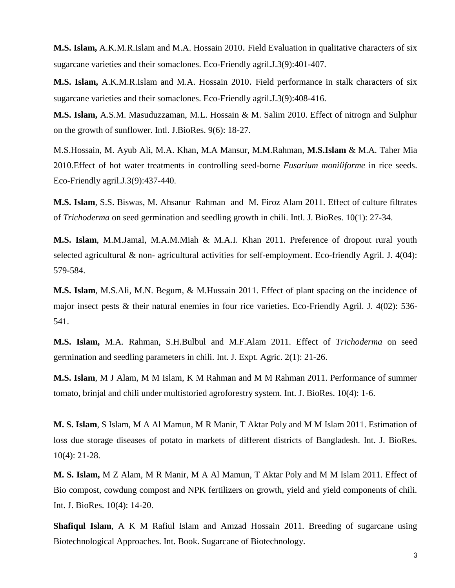**M.S. Islam,** A.K.M.R.Islam and M.A. Hossain 2010. Field Evaluation in qualitative characters of six sugarcane varieties and their somaclones. Eco-Friendly agril.J.3(9):401-407.

**M.S. Islam,** A.K.M.R.Islam and M.A. Hossain 2010. Field performance in stalk characters of six sugarcane varieties and their somaclones. Eco-Friendly agril.J.3(9):408-416.

**M.S. Islam,** A.S.M. Masuduzzaman, M.L. Hossain & M. Salim 2010. Effect of nitrogn and Sulphur on the growth of sunflower. Intl. J.BioRes. 9(6): 18-27.

M.S.Hossain, M. Ayub Ali, M.A. Khan, M.A Mansur, M.M.Rahman, **M.S.Islam** & M.A. Taher Mia 2010.Effect of hot water treatments in controlling seed-borne *Fusarium moniliforme* in rice seeds. Eco-Friendly agril.J.3(9):437-440.

**M.S. Islam**, S.S. Biswas, M. Ahsanur Rahman and M. Firoz Alam 2011. Effect of culture filtrates of *Trichoderma* on seed germination and seedling growth in chili. Intl. J. BioRes. 10(1): 27-34.

**M.S. Islam**, M.M.Jamal, M.A.M.Miah & M.A.I. Khan 2011. Preference of dropout rural youth selected agricultural  $\&$  non- agricultural activities for self-employment. Eco-friendly Agril. J. 4(04): 579-584.

**M.S. Islam**, M.S.Ali, M.N. Begum, & M.Hussain 2011. Effect of plant spacing on the incidence of major insect pests & their natural enemies in four rice varieties. Eco-Friendly Agril. J. 4(02): 536- 541.

**M.S. Islam,** M.A. Rahman, S.H.Bulbul and M.F.Alam 2011. Effect of *Trichoderma* on seed germination and seedling parameters in chili. Int. J. Expt. Agric. 2(1): 21-26.

**M.S. Islam**, M J Alam, M M Islam, K M Rahman and M M Rahman 2011. Performance of summer tomato, brinjal and chili under multistoried agroforestry system. Int. J. BioRes. 10(4): 1-6.

**M. S. Islam**, S Islam, M A Al Mamun, M R Manir, T Aktar Poly and M M Islam 2011. Estimation of loss due storage diseases of potato in markets of different districts of Bangladesh. Int. J. BioRes. 10(4): 21-28.

**M. S. Islam,** M Z Alam, M R Manir, M A Al Mamun, T Aktar Poly and M M Islam 2011. Effect of Bio compost, cowdung compost and NPK fertilizers on growth, yield and yield components of chili. Int. J. BioRes. 10(4): 14-20.

**Shafiqul Islam**, A K M Rafiul Islam and Amzad Hossain 2011. Breeding of sugarcane using Biotechnological Approaches. Int. Book. Sugarcane of Biotechnology.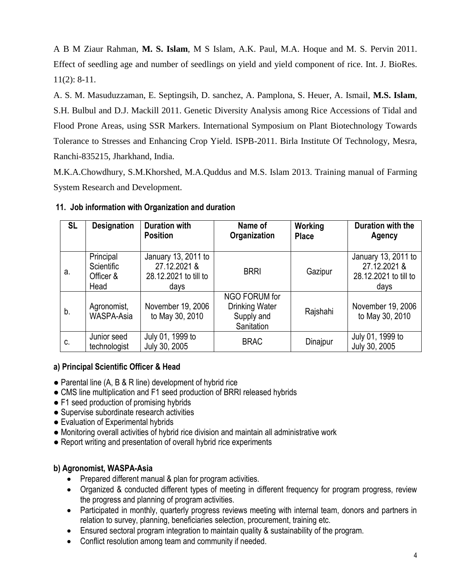A B M Ziaur Rahman, **M. S. Islam**, M S Islam, A.K. Paul, M.A. Hoque and M. S. Pervin 2011. Effect of seedling age and number of seedlings on yield and yield component of rice. Int. J. BioRes. 11(2): 8-11.

A. S. M. Masuduzzaman, E. Septingsih, D. sanchez, A. Pamplona, S. Heuer, A. Ismail, **M.S. Islam**, S.H. Bulbul and D.J. Mackill 2011. Genetic Diversity Analysis among Rice Accessions of Tidal and Flood Prone Areas, using SSR Markers. International Symposium on Plant Biotechnology Towards Tolerance to Stresses and Enhancing Crop Yield. ISPB-2011. Birla Institute Of Technology, Mesra, Ranchi-835215, Jharkhand, India.

M.K.A.Chowdhury, S.M.Khorshed, M.A.Quddus and M.S. Islam 2013. Training manual of Farming System Research and Development.

## **11. Job information with Organization and duration**

| <b>SL</b> | <b>Designation</b>                           | <b>Duration with</b><br><b>Position</b>                              | Name of<br>Organization                                            | Working<br><b>Place</b> | Duration with the<br><b>Agency</b>                                   |
|-----------|----------------------------------------------|----------------------------------------------------------------------|--------------------------------------------------------------------|-------------------------|----------------------------------------------------------------------|
| а.        | Principal<br>Scientific<br>Officer &<br>Head | January 13, 2011 to<br>27.12.2021 &<br>28.12.2021 to till to<br>days | <b>BRRI</b>                                                        | Gazipur                 | January 13, 2011 to<br>27.12.2021 &<br>28.12.2021 to till to<br>days |
| b.        | Agronomist,<br>WASPA-Asia                    | November 19, 2006<br>to May 30, 2010                                 | NGO FORUM for<br><b>Drinking Water</b><br>Supply and<br>Sanitation | Rajshahi                | November 19, 2006<br>to May 30, 2010                                 |
| C.        | Junior seed<br>technologist                  | July 01, 1999 to<br>July 30, 2005                                    | <b>BRAC</b>                                                        | Dinajpur                | July 01, 1999 to<br>July 30, 2005                                    |

#### **a) Principal Scientific Officer & Head**

- Parental line (A, B & R line) development of hybrid rice
- CMS line multiplication and F1 seed production of BRRI released hybrids
- F1 seed production of promising hybrids
- Supervise subordinate research activities
- Evaluation of Experimental hybrids
- Monitoring overall activities of hybrid rice division and maintain all administrative work
- Report writing and presentation of overall hybrid rice experiments

# **b) Agronomist, WASPA-Asia**

- Prepared different manual & plan for program activities.
- Organized & conducted different types of meeting in different frequency for program progress, review the progress and planning of program activities.
- Participated in monthly, quarterly progress reviews meeting with internal team, donors and partners in relation to survey, planning, beneficiaries selection, procurement, training etc.
- Ensured sectoral program integration to maintain quality & sustainability of the program.
- Conflict resolution among team and community if needed.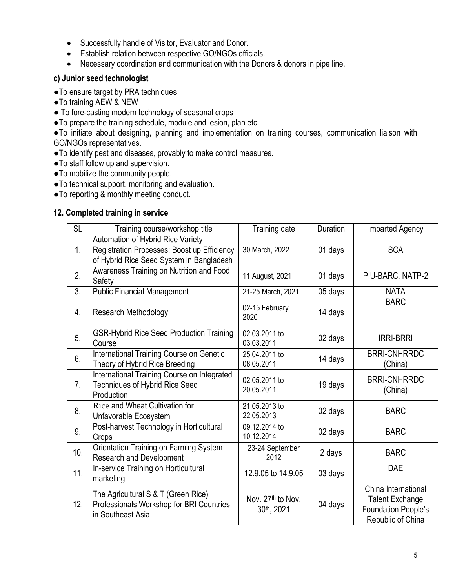- Successfully handle of Visitor, Evaluator and Donor.
- Establish relation between respective GO/NGOs officials.
- Necessary coordination and communication with the Donors & donors in pipe line.

## **c) Junior seed technologist**

- ●To ensure target by PRA techniques
- ●To training AEW & NEW
- To fore-casting modern technology of seasonal crops
- ●To prepare the training schedule, module and lesion, plan etc.

●To initiate about designing, planning and implementation on training courses, communication liaison with GO/NGOs representatives.

- ●To identify pest and diseases, provably to make control measures.
- ●To staff follow up and supervision.
- ●To mobilize the community people.
- ●To technical support, monitoring and evaluation.
- ●To reporting & monthly meeting conduct.

#### **12. Completed training in service**

| <b>SL</b>      | Training course/workshop title                                                                                               | Training date                               | Duration | Imparted Agency                                                                           |
|----------------|------------------------------------------------------------------------------------------------------------------------------|---------------------------------------------|----------|-------------------------------------------------------------------------------------------|
| 1 <sub>1</sub> | Automation of Hybrid Rice Variety<br>Registration Processes: Boost up Efficiency<br>of Hybrid Rice Seed System in Bangladesh | 30 March, 2022                              | 01 days  | <b>SCA</b>                                                                                |
| 2.             | Awareness Training on Nutrition and Food<br>Safety                                                                           | 11 August, 2021                             | 01 days  | PIU-BARC, NATP-2                                                                          |
| 3.             | <b>Public Financial Management</b>                                                                                           | 21-25 March, 2021                           | 05 days  | <b>NATA</b>                                                                               |
| 4.             | <b>Research Methodology</b>                                                                                                  | 02-15 February<br>2020                      | 14 days  | <b>BARC</b>                                                                               |
| 5.             | <b>GSR-Hybrid Rice Seed Production Training</b><br>Course                                                                    | 02.03.2011 to<br>03.03.2011                 | 02 days  | <b>IRRI-BRRI</b>                                                                          |
| 6.             | International Training Course on Genetic<br>Theory of Hybrid Rice Breeding                                                   | 25.04.2011 to<br>08.05.2011                 | 14 days  | <b>BRRI-CNHRRDC</b><br>(China)                                                            |
| 7.             | International Training Course on Integrated<br><b>Techniques of Hybrid Rice Seed</b><br>Production                           | 02.05.2011 to<br>20.05.2011                 | 19 days  | <b>BRRI-CNHRRDC</b><br>(China)                                                            |
| 8.             | Rice and Wheat Cultivation for<br>Unfavorable Ecosystem                                                                      | 21.05.2013 to<br>22.05.2013                 | 02 days  | <b>BARC</b>                                                                               |
| 9.             | Post-harvest Technology in Horticultural<br>Crops                                                                            | 09.12.2014 to<br>10.12.2014                 | 02 days  | <b>BARC</b>                                                                               |
| 10.            | Orientation Training on Farming System<br><b>Research and Development</b>                                                    | 23-24 September<br>2012                     | 2 days   | <b>BARC</b>                                                                               |
| 11.            | In-service Training on Horticultural<br>marketing                                                                            | 12.9.05 to 14.9.05                          | 03 days  | <b>DAE</b>                                                                                |
| 12.            | The Agricultural S & T (Green Rice)<br>Professionals Workshop for BRI Countries<br>in Southeast Asia                         | Nov. 27 <sup>th</sup> to Nov.<br>30th, 2021 | 04 days  | China International<br><b>Talent Exchange</b><br>Foundation People's<br>Republic of China |